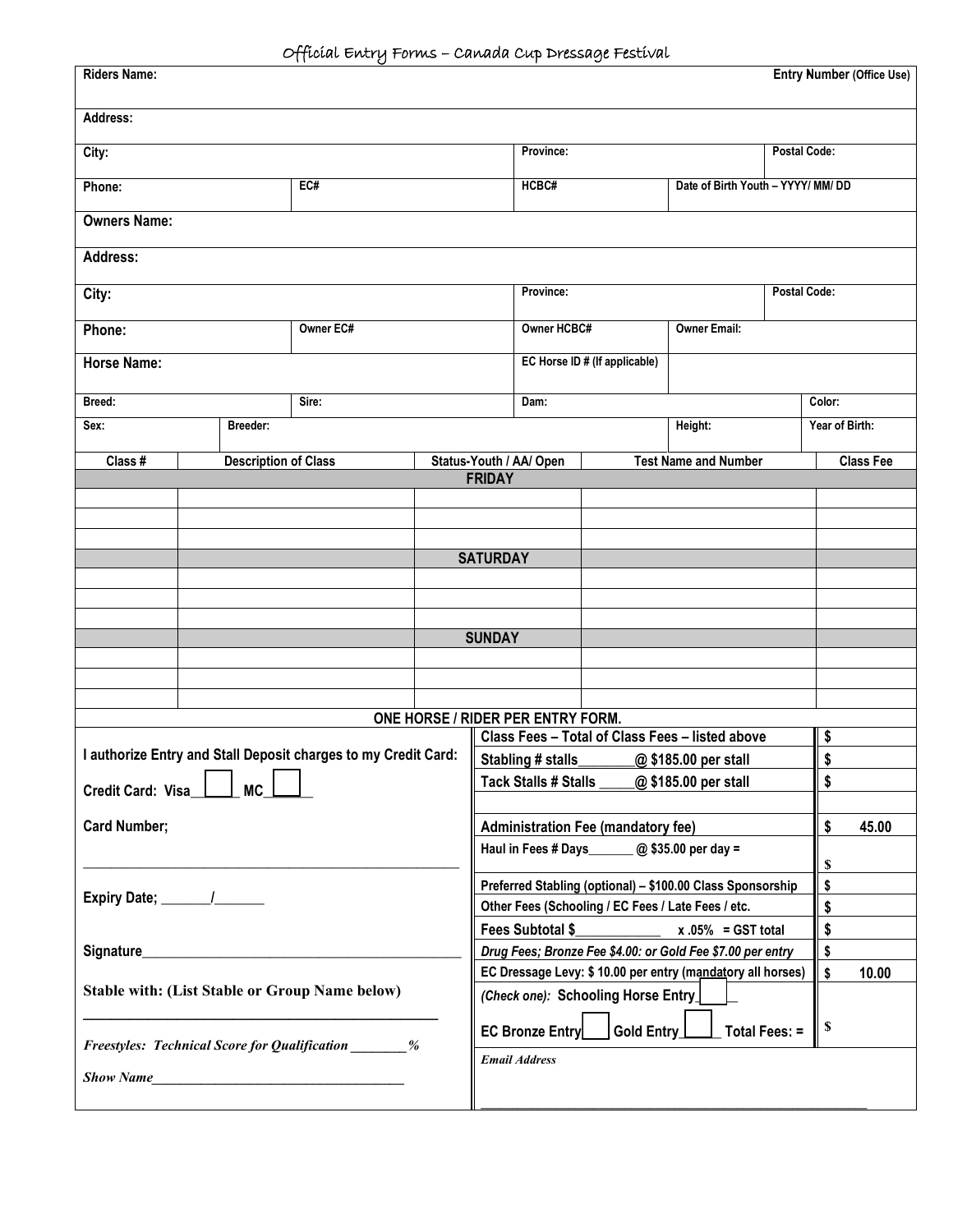| <b>Riders Name:</b>                                            |          | - Home could come a momentary configuration. |  |                                                                                                        |                               |                                                 |                             |                     | <b>Entry Number (Office Use)</b> |
|----------------------------------------------------------------|----------|----------------------------------------------|--|--------------------------------------------------------------------------------------------------------|-------------------------------|-------------------------------------------------|-----------------------------|---------------------|----------------------------------|
| Address:                                                       |          |                                              |  |                                                                                                        |                               |                                                 |                             |                     |                                  |
| City:                                                          |          |                                              |  | Province:                                                                                              |                               |                                                 |                             | <b>Postal Code:</b> |                                  |
| EC#<br>Phone:                                                  |          |                                              |  | HCBC#<br>Date of Birth Youth - YYYY/ MM/ DD                                                            |                               |                                                 |                             |                     |                                  |
| <b>Owners Name:</b>                                            |          |                                              |  |                                                                                                        |                               |                                                 |                             |                     |                                  |
| <b>Address:</b>                                                |          |                                              |  |                                                                                                        |                               |                                                 |                             |                     |                                  |
| City:                                                          |          |                                              |  | Province:                                                                                              |                               |                                                 |                             | <b>Postal Code:</b> |                                  |
| Owner EC#<br>Phone:                                            |          | Owner HCBC#                                  |  |                                                                                                        |                               | <b>Owner Email:</b>                             |                             |                     |                                  |
| <b>Horse Name:</b>                                             |          |                                              |  |                                                                                                        | EC Horse ID # (If applicable) |                                                 |                             |                     |                                  |
| Breed:                                                         |          | Sire:                                        |  |                                                                                                        | Dam:                          |                                                 | Color:                      |                     |                                  |
| Sex:                                                           | Breeder: |                                              |  |                                                                                                        |                               |                                                 | Height:                     |                     | Year of Birth:                   |
| Class #                                                        |          | <b>Description of Class</b>                  |  |                                                                                                        | Status-Youth / AA/ Open       |                                                 | <b>Test Name and Number</b> |                     | <b>Class Fee</b>                 |
|                                                                |          |                                              |  | <b>FRIDAY</b>                                                                                          |                               |                                                 |                             |                     |                                  |
|                                                                |          |                                              |  |                                                                                                        |                               |                                                 |                             |                     |                                  |
|                                                                |          |                                              |  | <b>SATURDAY</b>                                                                                        |                               |                                                 |                             |                     |                                  |
|                                                                |          |                                              |  |                                                                                                        |                               |                                                 |                             |                     |                                  |
|                                                                |          |                                              |  |                                                                                                        |                               |                                                 |                             |                     |                                  |
|                                                                |          |                                              |  | <b>SUNDAY</b>                                                                                          |                               |                                                 |                             |                     |                                  |
|                                                                |          |                                              |  |                                                                                                        |                               |                                                 |                             |                     |                                  |
|                                                                |          |                                              |  |                                                                                                        |                               |                                                 |                             |                     |                                  |
|                                                                |          |                                              |  | ONE HORSE / RIDER PER ENTRY FORM.                                                                      |                               |                                                 |                             |                     |                                  |
| I authorize Entry and Stall Deposit charges to my Credit Card: |          |                                              |  | Class Fees - Total of Class Fees - listed above                                                        |                               |                                                 |                             |                     | \$                               |
|                                                                |          |                                              |  | Stabling # stalls_________@ \$185.00 per stall<br><b>Tack Stalls # Stalls</b><br>@\$185.00 per stall   |                               |                                                 |                             |                     | \$<br>\$                         |
| Credit Card: Visa<br><b>MC</b>                                 |          |                                              |  |                                                                                                        |                               |                                                 |                             |                     |                                  |
| <b>Card Number;</b>                                            |          |                                              |  | <b>Administration Fee (mandatory fee)</b>                                                              |                               |                                                 |                             |                     | \$<br>45.00                      |
|                                                                |          |                                              |  |                                                                                                        |                               | Haul in Fees # Days _______ @ \$35.00 per day = |                             |                     | \$                               |
| Signature_                                                     |          |                                              |  | Preferred Stabling (optional) - \$100.00 Class Sponsorship                                             |                               |                                                 |                             | \$                  |                                  |
|                                                                |          |                                              |  | Other Fees (Schooling / EC Fees / Late Fees / etc.                                                     |                               |                                                 |                             | \$                  |                                  |
|                                                                |          |                                              |  | Fees Subtotal \$<br>$x.05\% = GST$ total<br>Drug Fees; Bronze Fee \$4.00: or Gold Fee \$7.00 per entry |                               |                                                 |                             | \$<br>\$            |                                  |
| <b>Stable with: (List Stable or Group Name below)</b>          |          |                                              |  | EC Dressage Levy: \$ 10.00 per entry (mandatory all horses)                                            |                               |                                                 |                             | \$<br>10.00         |                                  |
|                                                                |          |                                              |  | (Check one): Schooling Horse Entry                                                                     |                               |                                                 |                             |                     |                                  |
|                                                                |          |                                              |  | Gold Entry<br>EC Bronze Entry<br>Total Fees: =                                                         |                               |                                                 |                             | \$                  |                                  |
| <b>Freestyles: Technical Score for Qualification</b> ________% |          |                                              |  | <b>Email Address</b>                                                                                   |                               |                                                 |                             |                     |                                  |
| <b>Show Name</b>                                               |          |                                              |  |                                                                                                        |                               |                                                 |                             |                     |                                  |